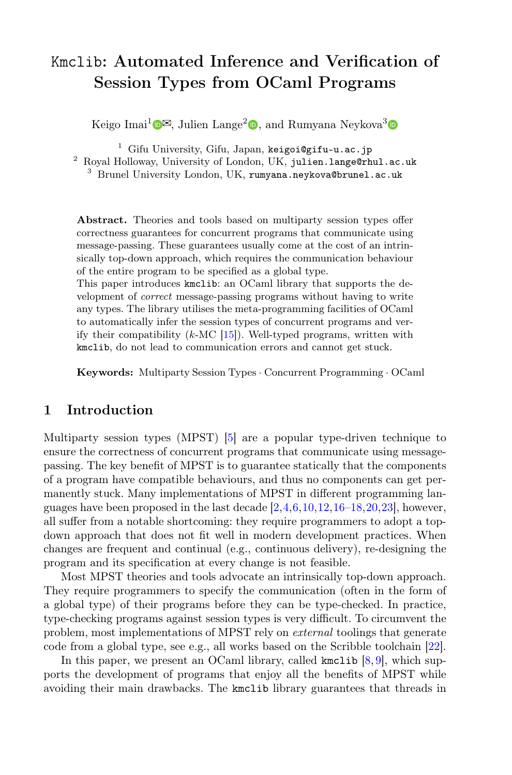# Kmclib: Automated Inference and Verification of Session Types from OCaml Programs

Keigo Imai<sup>1</sup> $\mathbb{D}^{\boxtimes}$ [,](http://orcid.org/0000-0001-9697-1378) Julien Lange<sup>2</sup> $\mathbb{D}$ , and Rumyana Neykova<sup>3</sup>

<sup>1</sup> Gifu University, Gifu, Japan, keigoi@gifu-u.ac.jp

<sup>2</sup> Royal Holloway, University of London, UK, julien.lange@rhul.ac.uk

<sup>3</sup> Brunel University London, UK, rumyana.neykova@brunel.ac.uk

Abstract. Theories and tools based on multiparty session types offer correctness guarantees for concurrent programs that communicate using message-passing. These guarantees usually come at the cost of an intrinsically top-down approach, which requires the communication behaviour of the entire program to be specified as a global type.

This paper introduces kmclib: an OCaml library that supports the development of correct message-passing programs without having to write any types. The library utilises the meta-programming facilities of OCaml to automatically infer the session types of concurrent programs and verify their compatibility  $(k-MC [15])$  $(k-MC [15])$  $(k-MC [15])$ . Well-typed programs, written with kmclib, do not lead to communication errors and cannot get stuck.

Keywords: Multiparty Session Types · Concurrent Programming · OCaml

## 1 Introduction

Multiparty session types (MPST) [\[5\]](#page-6-0) are a popular type-driven technique to ensure the correctness of concurrent programs that communicate using messagepassing. The key benefit of MPST is to guarantee statically that the components of a program have compatible behaviours, and thus no components can get permanently stuck. Many implementations of MPST in different programming languages have been proposed in the last decade [\[2,](#page-6-1)[4,](#page-6-2)[6,](#page-6-3)[10,](#page-6-4)[12,](#page-6-5)[16–](#page-7-1)[18,](#page-7-2)[20,](#page-7-3)[23\]](#page-7-4), however, all suffer from a notable shortcoming: they require programmers to adopt a topdown approach that does not fit well in modern development practices. When changes are frequent and continual (e.g., continuous delivery), re-designing the program and its specification at every change is not feasible.

Most MPST theories and tools advocate an intrinsically top-down approach. They require programmers to specify the communication (often in the form of a global type) of their programs before they can be type-checked. In practice, type-checking programs against session types is very difficult. To circumvent the problem, most implementations of MPST rely on external toolings that generate code from a global type, see e.g., all works based on the Scribble toolchain [\[22\]](#page-7-5).

In this paper, we present an OCaml library, called kmclib  $[8, 9]$  $[8, 9]$  $[8, 9]$ , which supports the development of programs that enjoy all the benefits of MPST while avoiding their main drawbacks. The kmclib library guarantees that threads in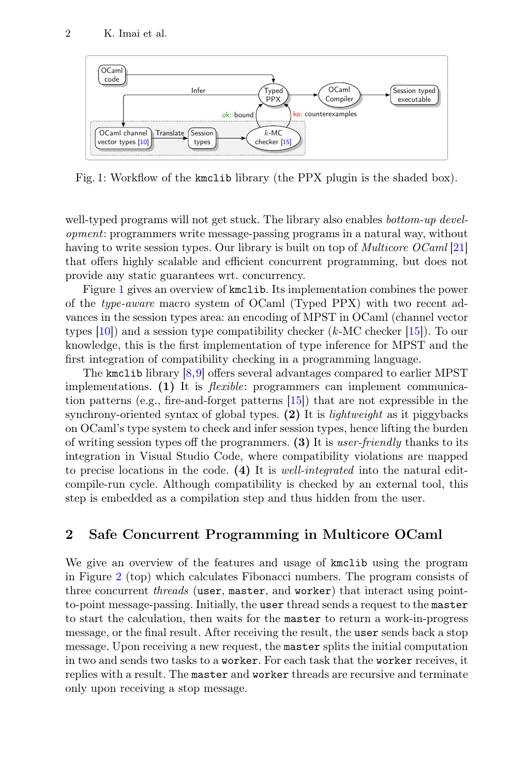<span id="page-1-0"></span>

Fig. 1: Workflow of the kmclib library (the PPX plugin is the shaded box).

well-typed programs will not get stuck. The library also enables *bottom-up devel*opment: programmers write message-passing programs in a natural way, without having to write session types. Our library is built on top of *Multicore OCaml* [\[21\]](#page-7-6) that offers highly scalable and efficient concurrent programming, but does not provide any static guarantees wrt. concurrency.

Figure [1](#page-1-0) gives an overview of kmclib. Its implementation combines the power of the type-aware macro system of OCaml (Typed PPX) with two recent advances in the session types area: an encoding of MPST in OCaml (channel vector types  $[10]$  and a session type compatibility checker  $(k$ -MC checker  $[15]$ . To our knowledge, this is the first implementation of type inference for MPST and the first integration of compatibility checking in a programming language.

The kmclib library [\[8,](#page-6-6)[9\]](#page-6-7) offers several advantages compared to earlier MPST implementations. (1) It is *flexible*: programmers can implement communication patterns (e.g., fire-and-forget patterns [\[15\]](#page-7-0)) that are not expressible in the synchrony-oriented syntax of global types.  $(2)$  It is *lightweight* as it piggybacks on OCaml's type system to check and infer session types, hence lifting the burden of writing session types off the programmers. (3) It is user-friendly thanks to its integration in Visual Studio Code, where compatibility violations are mapped to precise locations in the code. (4) It is well-integrated into the natural editcompile-run cycle. Although compatibility is checked by an external tool, this step is embedded as a compilation step and thus hidden from the user.

#### 2 Safe Concurrent Programming in Multicore OCaml

We give an overview of the features and usage of kmclib using the program in Figure [2](#page-2-0) (top) which calculates Fibonacci numbers. The program consists of three concurrent *threads* (user, master, and worker) that interact using pointto-point message-passing. Initially, the user thread sends a request to the master to start the calculation, then waits for the master to return a work-in-progress message, or the final result. After receiving the result, the user sends back a stop message. Upon receiving a new request, the master splits the initial computation in two and sends two tasks to a worker. For each task that the worker receives, it replies with a result. The master and worker threads are recursive and terminate only upon receiving a stop message.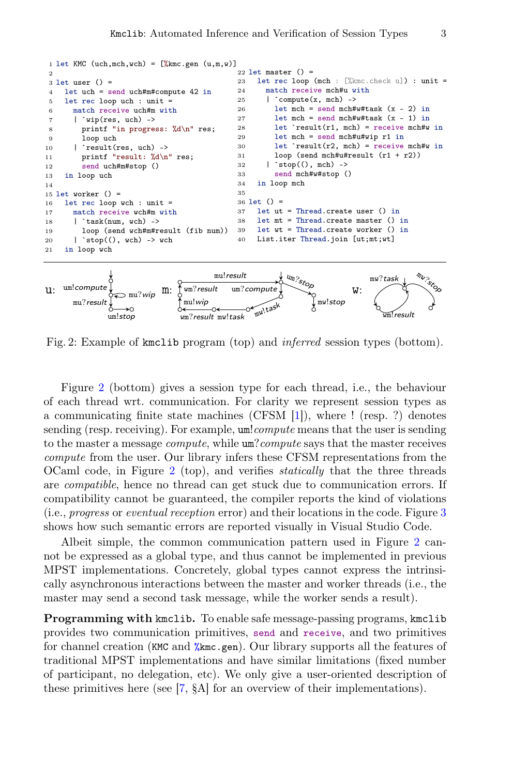<span id="page-2-18"></span><span id="page-2-17"></span><span id="page-2-16"></span><span id="page-2-15"></span><span id="page-2-11"></span><span id="page-2-10"></span><span id="page-2-9"></span><span id="page-2-8"></span><span id="page-2-6"></span><span id="page-2-2"></span><span id="page-2-1"></span><span id="page-2-0"></span>

<span id="page-2-14"></span><span id="page-2-13"></span><span id="page-2-12"></span><span id="page-2-7"></span><span id="page-2-5"></span><span id="page-2-4"></span><span id="page-2-3"></span>

Fig. 2: Example of kmclib program (top) and inferred session types (bottom).

Figure [2](#page-2-0) (bottom) gives a session type for each thread, i.e., the behaviour of each thread wrt. communication. For clarity we represent session types as a communicating finite state machines (CFSM [\[1\]](#page-6-8)), where ! (resp. ?) denotes sending (resp. receiving). For example,  $um!compute$  means that the user is sending to the master a message compute, while um?compute says that the master receives compute from the user. Our library infers these CFSM representations from the OCaml code, in Figure [2](#page-2-0) (top), and verifies statically that the three threads are compatible, hence no thread can get stuck due to communication errors. If compatibility cannot be guaranteed, the compiler reports the kind of violations (i.e., *progress* or *eventual reception* error) and their locations in the code. Figure  $3$ shows how such semantic errors are reported visually in Visual Studio Code.

Albeit simple, the common communication pattern used in Figure [2](#page-2-0) cannot be expressed as a global type, and thus cannot be implemented in previous MPST implementations. Concretely, global types cannot express the intrinsically asynchronous interactions between the master and worker threads (i.e., the master may send a second task message, while the worker sends a result).

Programming with kmclib. To enable safe message-passing programs, kmclib provides two communication primitives, send and receive, and two primitives for channel creation (KMC and %kmc.gen). Our library supports all the features of traditional MPST implementations and have similar limitations (fixed number of participant, no delegation, etc). We only give a user-oriented description of these primitives here (see [\[7,](#page-6-9) §A] for an overview of their implementations).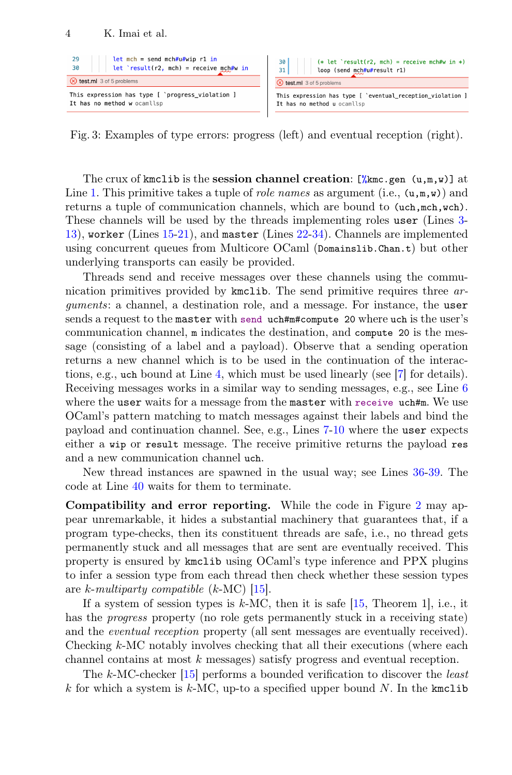<span id="page-3-0"></span>

Fig. 3: Examples of type errors: progress (left) and eventual reception (right).

The crux of kmclib is the session channel creation:  $\left[\frac{\partial f}{\partial x}\right]$  (u,m,w) at Line [1.](#page-2-1) This primitive takes a tuple of *role names* as argument (i.e.,  $(u, m, w)$ ) and returns a tuple of communication channels, which are bound to (uch,mch,wch). These channels will be used by the threads implementing roles user (Lines [3-](#page-2-2) [13\)](#page-2-3), worker (Lines [15-](#page-2-4)[21\)](#page-2-5), and master (Lines [22-](#page-2-6)[34\)](#page-2-7). Channels are implemented using concurrent queues from Multicore OCaml (Domainslib.Chan.t) but other underlying transports can easily be provided.

Threads send and receive messages over these channels using the communication primitives provided by kmclib. The send primitive requires three arguments: a channel, a destination role, and a message. For instance, the user sends a request to the master with send uch#m#compute 20 where uch is the user's communication channel, m indicates the destination, and compute 20 is the message (consisting of a label and a payload). Observe that a sending operation returns a new channel which is to be used in the continuation of the interactions, e.g., uch bound at Line [4,](#page-2-8) which must be used linearly (see [\[7\]](#page-6-9) for details). Receiving messages works in a similar way to sending messages, e.g., see Line [6](#page-2-9) where the user waits for a message from the master with receive uch#m. We use OCaml's pattern matching to match messages against their labels and bind the payload and continuation channel. See, e.g., Lines [7-](#page-2-10)[10](#page-2-11) where the user expects either a wip or result message. The receive primitive returns the payload res and a new communication channel uch.

New thread instances are spawned in the usual way; see Lines [36-](#page-2-12)[39.](#page-2-13) The code at Line [40](#page-2-14) waits for them to terminate.

Compatibility and error reporting. While the code in Figure [2](#page-2-0) may appear unremarkable, it hides a substantial machinery that guarantees that, if a program type-checks, then its constituent threads are safe, i.e., no thread gets permanently stuck and all messages that are sent are eventually received. This property is ensured by kmclib using OCaml's type inference and PPX plugins to infer a session type from each thread then check whether these session types are k-multiparty compatible  $(k-MC)$  [\[15\]](#page-7-0).

If a system of session types is  $k$ -MC, then it is safe [\[15,](#page-7-0) Theorem 1], i.e., it has the *progress* property (no role gets permanently stuck in a receiving state) and the *eventual reception* property (all sent messages are eventually received). Checking k-MC notably involves checking that all their executions (where each channel contains at most k messages) satisfy progress and eventual reception.

The k-MC-checker [\[15\]](#page-7-0) performs a bounded verification to discover the *least* k for which a system is k-MC, up-to a specified upper bound  $N$ . In the kmclib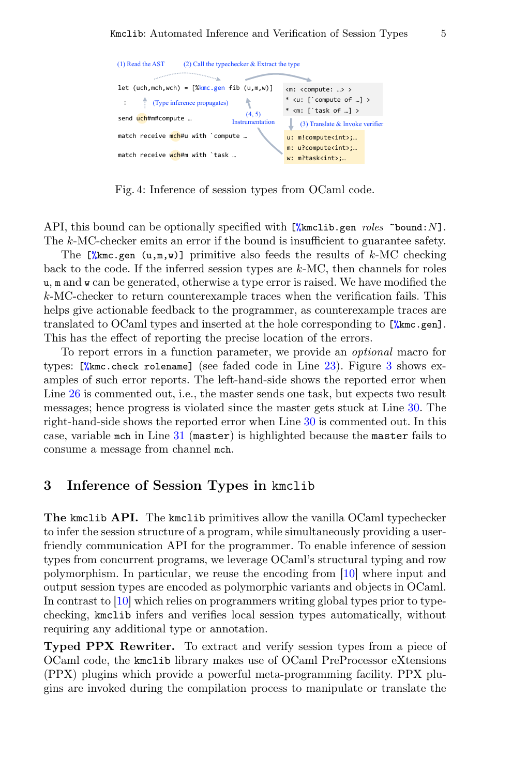```
(1) Read the AST
                     (2) Call the typechecker & Extract the type
                              a.
let (uch, mch, wch) = \frac{K}{mch}. gen fib (u, m, w)<m: <compute: …> >
                                         \overline{\mathbf{r}}* <u: [`compute of …] >
        (Type inference propagates)
  …
                                                     * <m: [`task of …] >
                                         (4, 5)send uch#m#compute ...
                                    Instrumentation
                                                       (3) Translate & Invoke verifier
match receive mch#u with `compute ...
                                                      u: m!compute<int>;...
                                                      m: u?compute<int>;…
match receive wch#m with `task ...
                                                      w: m?task<int>:…
```
Fig. 4: Inference of session types from OCaml code.

API, this bound can be optionally specified with  $\frac{N_{\text{km}}}{N_{\text{km}}}$  roles  $\degree$  bound: N]. The k-MC-checker emits an error if the bound is insufficient to guarantee safety.

The  $\chi_{\text{kmc.gen}}(u,m,w)$  primitive also feeds the results of k-MC checking back to the code. If the inferred session types are  $k$ -MC, then channels for roles u, m and w can be generated, otherwise a type error is raised. We have modified the k-MC-checker to return counterexample traces when the verification fails. This helps give actionable feedback to the programmer, as counterexample traces are translated to OCaml types and inserted at the hole corresponding to [%kmc.gen]. This has the effect of reporting the precise location of the errors.

To report errors in a function parameter, we provide an optional macro for types: [%kmc.check rolename] (see faded code in Line [23\)](#page-2-15). Figure [3](#page-3-0) shows examples of such error reports. The left-hand-side shows the reported error when Line [26](#page-2-16) is commented out, i.e., the master sends one task, but expects two result messages; hence progress is violated since the master gets stuck at Line [30.](#page-2-17) The right-hand-side shows the reported error when Line [30](#page-2-17) is commented out. In this case, variable mch in Line [31](#page-2-18) (master) is highlighted because the master fails to consume a message from channel mch.

#### 3 Inference of Session Types in kmclib

The kmclib API. The kmclib primitives allow the vanilla OCaml typechecker to infer the session structure of a program, while simultaneously providing a userfriendly communication API for the programmer. To enable inference of session types from concurrent programs, we leverage OCaml's structural typing and row polymorphism. In particular, we reuse the encoding from [\[10\]](#page-6-4) where input and output session types are encoded as polymorphic variants and objects in OCaml. In contrast to [\[10\]](#page-6-4) which relies on programmers writing global types prior to typechecking, kmclib infers and verifies local session types automatically, without requiring any additional type or annotation.

Typed PPX Rewriter. To extract and verify session types from a piece of OCaml code, the kmclib library makes use of OCaml PreProcessor eXtensions (PPX) plugins which provide a powerful meta-programming facility. PPX plugins are invoked during the compilation process to manipulate or translate the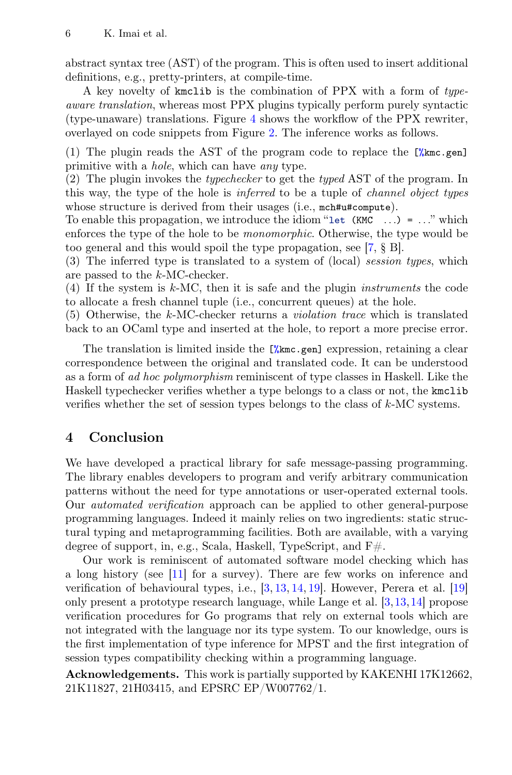abstract syntax tree (AST) of the program. This is often used to insert additional definitions, e.g., pretty-printers, at compile-time.

A key novelty of kmclib is the combination of PPX with a form of typeaware translation, whereas most PPX plugins typically perform purely syntactic (type-unaware) translations. Figure [4](#page-4-0) shows the workflow of the PPX rewriter, overlayed on code snippets from Figure [2.](#page-2-0) The inference works as follows.

(1) The plugin reads the AST of the program code to replace the [%kmc.gen] primitive with a hole, which can have any type.

(2) The plugin invokes the typechecker to get the typed AST of the program. In this way, the type of the hole is inferred to be a tuple of channel object types whose structure is derived from their usages (i.e.,  $mch#u#compute$ ).

To enable this propagation, we introduce the idiom "let  $(KMC \ldots) = \ldots$ " which enforces the type of the hole to be monomorphic. Otherwise, the type would be too general and this would spoil the type propagation, see [\[7,](#page-6-9) § B].

(3) The inferred type is translated to a system of (local) session types, which are passed to the k-MC-checker.

(4) If the system is  $k$ -MC, then it is safe and the plugin *instruments* the code to allocate a fresh channel tuple (i.e., concurrent queues) at the hole.

(5) Otherwise, the k-MC-checker returns a violation trace which is translated back to an OCaml type and inserted at the hole, to report a more precise error.

The translation is limited inside the [%kmc.gen] expression, retaining a clear correspondence between the original and translated code. It can be understood as a form of ad hoc polymorphism reminiscent of type classes in Haskell. Like the Haskell typechecker verifies whether a type belongs to a class or not, the kmclib verifies whether the set of session types belongs to the class of  $k$ -MC systems.

## 4 Conclusion

We have developed a practical library for safe message-passing programming. The library enables developers to program and verify arbitrary communication patterns without the need for type annotations or user-operated external tools. Our automated verification approach can be applied to other general-purpose programming languages. Indeed it mainly relies on two ingredients: static structural typing and metaprogramming facilities. Both are available, with a varying degree of support, in, e.g., Scala, Haskell, TypeScript, and F#.

Our work is reminiscent of automated software model checking which has a long history (see [\[11\]](#page-6-10) for a survey). There are few works on inference and verification of behavioural types, i.e., [\[3,](#page-6-11) [13,](#page-6-12) [14,](#page-6-13) [19\]](#page-7-7). However, Perera et al. [\[19\]](#page-7-7) only present a prototype research language, while Lange et al. [\[3,](#page-6-11)[13,](#page-6-12)[14\]](#page-6-13) propose verification procedures for Go programs that rely on external tools which are not integrated with the language nor its type system. To our knowledge, ours is the first implementation of type inference for MPST and the first integration of session types compatibility checking within a programming language.

Acknowledgements. This work is partially supported by KAKENHI 17K12662, 21K11827, 21H03415, and EPSRC EP/W007762/1.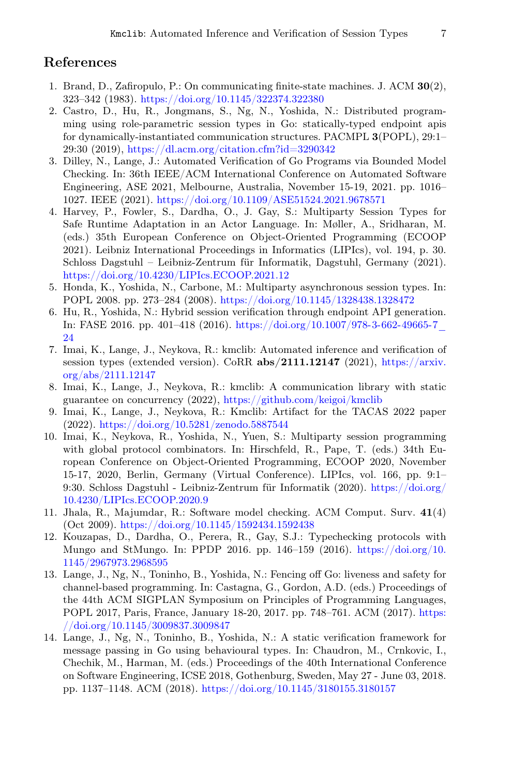## References

- <span id="page-6-8"></span>1. Brand, D., Zafiropulo, P.: On communicating finite-state machines. J. ACM 30(2), 323–342 (1983). <https://doi.org/10.1145/322374.322380>
- <span id="page-6-1"></span>2. Castro, D., Hu, R., Jongmans, S., Ng, N., Yoshida, N.: Distributed programming using role-parametric session types in Go: statically-typed endpoint apis for dynamically-instantiated communication structures. PACMPL 3(POPL), 29:1– 29:30 (2019), <https://dl.acm.org/citation.cfm?id=3290342>
- <span id="page-6-11"></span>3. Dilley, N., Lange, J.: Automated Verification of Go Programs via Bounded Model Checking. In: 36th IEEE/ACM International Conference on Automated Software Engineering, ASE 2021, Melbourne, Australia, November 15-19, 2021. pp. 1016– 1027. IEEE (2021). <https://doi.org/10.1109/ASE51524.2021.9678571>
- <span id="page-6-2"></span>4. Harvey, P., Fowler, S., Dardha, O., J. Gay, S.: Multiparty Session Types for Safe Runtime Adaptation in an Actor Language. In: Møller, A., Sridharan, M. (eds.) 35th European Conference on Object-Oriented Programming (ECOOP 2021). Leibniz International Proceedings in Informatics (LIPIcs), vol. 194, p. 30. Schloss Dagstuhl – Leibniz-Zentrum für Informatik, Dagstuhl, Germany (2021). <https://doi.org/10.4230/LIPIcs.ECOOP.2021.12>
- <span id="page-6-0"></span>5. Honda, K., Yoshida, N., Carbone, M.: Multiparty asynchronous session types. In: POPL 2008. pp. 273–284 (2008). <https://doi.org/10.1145/1328438.1328472>
- <span id="page-6-3"></span>6. Hu, R., Yoshida, N.: Hybrid session verification through endpoint API generation. In: FASE 2016. pp. 401–418 (2016). [https://doi.org/10.1007/978-3-662-49665-7\\_](https://doi.org/10.1007/978-3-662-49665-7_24) [24](https://doi.org/10.1007/978-3-662-49665-7_24)
- <span id="page-6-9"></span>7. Imai, K., Lange, J., Neykova, R.: kmclib: Automated inference and verification of session types (extended version). CoRR abs/2111.12147 (2021), [https://arxiv.](https://arxiv.org/abs/2111.12147) [org/abs/2111.12147](https://arxiv.org/abs/2111.12147)
- <span id="page-6-6"></span>8. Imai, K., Lange, J., Neykova, R.: kmclib: A communication library with static guarantee on concurrency (2022), <https://github.com/keigoi/kmclib>
- <span id="page-6-7"></span>9. Imai, K., Lange, J., Neykova, R.: Kmclib: Artifact for the TACAS 2022 paper (2022). <https://doi.org/10.5281/zenodo.5887544>
- <span id="page-6-4"></span>10. Imai, K., Neykova, R., Yoshida, N., Yuen, S.: Multiparty session programming with global protocol combinators. In: Hirschfeld, R., Pape, T. (eds.) 34th European Conference on Object-Oriented Programming, ECOOP 2020, November 15-17, 2020, Berlin, Germany (Virtual Conference). LIPIcs, vol. 166, pp. 9:1– 9:30. Schloss Dagstuhl - Leibniz-Zentrum für Informatik (2020). [https://doi.org/](https://doi.org/10.4230/LIPIcs.ECOOP.2020.9) [10.4230/LIPIcs.ECOOP.2020.9](https://doi.org/10.4230/LIPIcs.ECOOP.2020.9)
- <span id="page-6-10"></span>11. Jhala, R., Majumdar, R.: Software model checking. ACM Comput. Surv. 41(4) (Oct 2009). <https://doi.org/10.1145/1592434.1592438>
- <span id="page-6-5"></span>12. Kouzapas, D., Dardha, O., Perera, R., Gay, S.J.: Typechecking protocols with Mungo and StMungo. In: PPDP 2016. pp. 146–159 (2016). [https://doi.org/10.](https://doi.org/10.1145/2967973.2968595) [1145/2967973.2968595](https://doi.org/10.1145/2967973.2968595)
- <span id="page-6-12"></span>13. Lange, J., Ng, N., Toninho, B., Yoshida, N.: Fencing off Go: liveness and safety for channel-based programming. In: Castagna, G., Gordon, A.D. (eds.) Proceedings of the 44th ACM SIGPLAN Symposium on Principles of Programming Languages, POPL 2017, Paris, France, January 18-20, 2017. pp. 748–761. ACM (2017). [https:](https://doi.org/10.1145/3009837.3009847) [//doi.org/10.1145/3009837.3009847](https://doi.org/10.1145/3009837.3009847)
- <span id="page-6-13"></span>14. Lange, J., Ng, N., Toninho, B., Yoshida, N.: A static verification framework for message passing in Go using behavioural types. In: Chaudron, M., Crnkovic, I., Chechik, M., Harman, M. (eds.) Proceedings of the 40th International Conference on Software Engineering, ICSE 2018, Gothenburg, Sweden, May 27 - June 03, 2018. pp. 1137–1148. ACM (2018). <https://doi.org/10.1145/3180155.3180157>